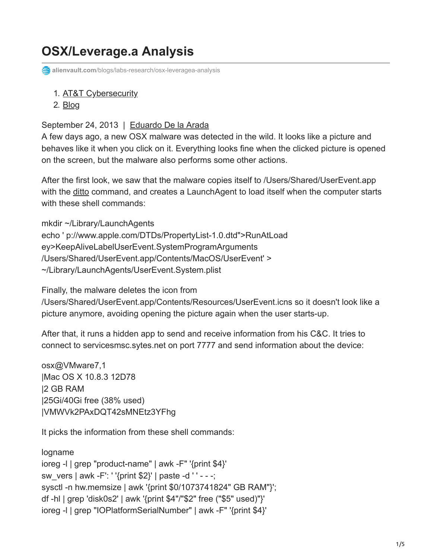## **OSX/Leverage.a Analysis**

**alienvault.com**[/blogs/labs-research/osx-leveragea-analysis](https://www.alienvault.com/blogs/labs-research/osx-leveragea-analysis)

- 1. [AT&T Cybersecurity](https://cybersecurity.att.com/)
- 2. [Blog](https://cybersecurity.att.com/blogs)

## September 24, 2013 | [Eduardo De la Arada](https://www.alienvault.com/blogs/author/earada)

A few days ago, a new OSX malware was detected in the wild. It looks like a picture and behaves like it when you click on it. Everything looks fine when the clicked picture is opened on the screen, but the malware also performs some other actions.

After the first look, we saw that the malware copies itself to /Users/Shared/UserEvent.app with the [ditto](https://developer.apple.com/library/mac/documentation/Darwin/Reference/ManPages/man1/ditto.1.html) command, and creates a LaunchAgent to load itself when the computer starts with these shell commands:

mkdir ~/Library/LaunchAgents echo ' p://www.apple.com/DTDs/PropertyList-1.0.dtd">RunAtLoad ey>KeepAliveLabelUserEvent.SystemProgramArguments /Users/Shared/UserEvent.app/Contents/MacOS/UserEvent' > ~/Library/LaunchAgents/UserEvent.System.plist

Finally, the malware deletes the icon from

/Users/Shared/UserEvent.app/Contents/Resources/UserEvent.icns so it doesn't look like a picture anymore, avoiding opening the picture again when the user starts-up.

After that, it runs a hidden app to send and receive information from his C&C. It tries to connect to servicesmsc.sytes.net on port 7777 and send information about the device:

osx@VMware7,1 |Mac OS X 10.8.3 12D78 |2 GB RAM |25Gi/40Gi free (38% used) |VMWVk2PAxDQT42sMNEtz3YFhg

It picks the information from these shell commands:

logname ioreg -l | grep "product-name" | awk -F" '{print \$4}' sw\_vers | awk -F': ' '{print \$2}' | paste -d ' ' - - -; sysctl -n hw.memsize | awk '{print \$0/1073741824" GB RAM"}'; df -hl | grep 'disk0s2' | awk '{print \$4"/"\$2" free ("\$5" used)"}' ioreg -l | grep "IOPlatformSerialNumber" | awk -F" '{print \$4}'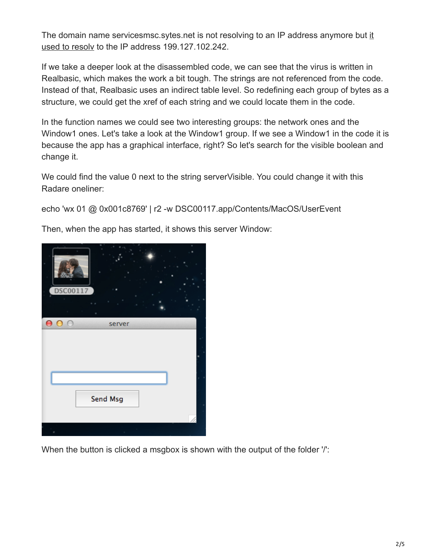[The domain name servicesmsc.sytes.net is not resolving to an IP address anymore but it](http://webcache.googleusercontent.com/search?q=cache%3Adnslookup.fr%2Fservicesmsc.sytes.net&oq=cache%3Adnslookup.fr%2Fservicesmsc.sytes.net&aqs=chrome..69i57j69i58.972j0&sourceid=chrome&ie=UTF-8) used to resolv to the IP address 199.127.102.242.

If we take a deeper look at the disassembled code, we can see that the virus is written in Realbasic, which makes the work a bit tough. The strings are not referenced from the code. Instead of that, Realbasic uses an indirect table level. So redefining each group of bytes as a structure, we could get the xref of each string and we could locate them in the code.

In the function names we could see two interesting groups: the network ones and the Window1 ones. Let's take a look at the Window1 group. If we see a Window1 in the code it is because the app has a graphical interface, right? So let's search for the visible boolean and change it.

We could find the value 0 next to the string server Visible. You could change it with this Radare oneliner:

echo 'wx 01 @ 0x001c8769' | r2 -w DSC00117.app/Contents/MacOS/UserEvent

Then, when the app has started, it shows this server Window:



When the button is clicked a msgbox is shown with the output of the folder '/':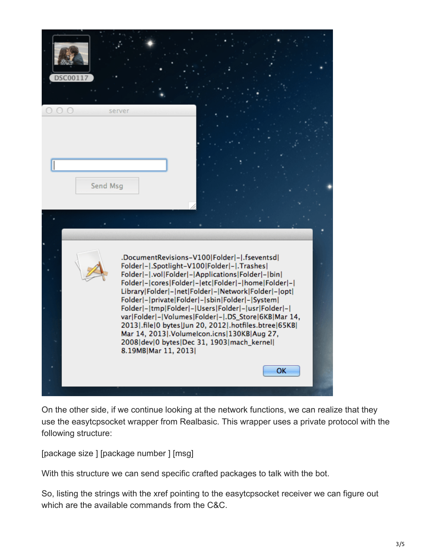

On the other side, if we continue looking at the network functions, we can realize that they use the easytcpsocket wrapper from Realbasic. This wrapper uses a private protocol with the following structure:

[package size ] [package number ] [msg]

With this structure we can send specific crafted packages to talk with the bot.

So, listing the strings with the xref pointing to the easytcpsocket receiver we can figure out which are the available commands from the C&C.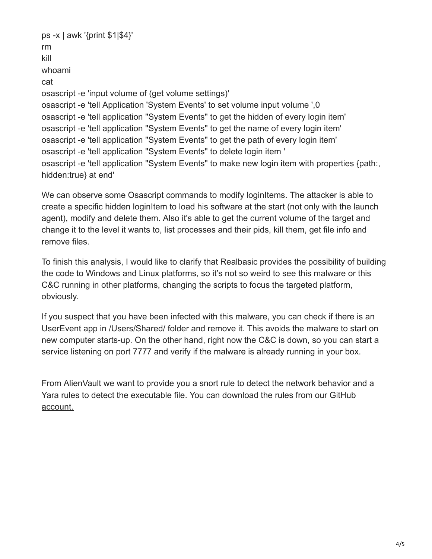```
ps -x | awk '{print $1|$4}'
rm
kill
whoami
cat
osascript -e 'input volume of (get volume settings)'
osascript -e 'tell Application 'System Events' to set volume input volume ',0
osascript -e 'tell application "System Events" to get the hidden of every login item'
osascript -e 'tell application "System Events" to get the name of every login item'
osascript -e 'tell application "System Events" to get the path of every login item'
osascript -e 'tell application "System Events" to delete login item '
osascript -e 'tell application "System Events" to make new login item with properties {path:,
hidden:true} at end'
```
We can observe some Osascript commands to modify loginItems. The attacker is able to create a specific hidden loginItem to load his software at the start (not only with the launch agent), modify and delete them. Also it's able to get the current volume of the target and change it to the level it wants to, list processes and their pids, kill them, get file info and remove files.

To finish this analysis, I would like to clarify that Realbasic provides the possibility of building the code to Windows and Linux platforms, so it's not so weird to see this malware or this C&C running in other platforms, changing the scripts to focus the targeted platform, obviously.

If you suspect that you have been infected with this malware, you can check if there is an UserEvent app in /Users/Shared/ folder and remove it. This avoids the malware to start on new computer starts-up. On the other hand, right now the C&C is down, so you can start a service listening on port 7777 and verify if the malware is already running in your box.

From AlienVault we want to provide you a snort rule to detect the network behavior and a [Yara rules to detect the executable file. You can download the rules from our GitHub](https://github.com/jaimeblasco/AlienvaultLabs/tree/master/malware_analysis/OSX_Leverage) account.